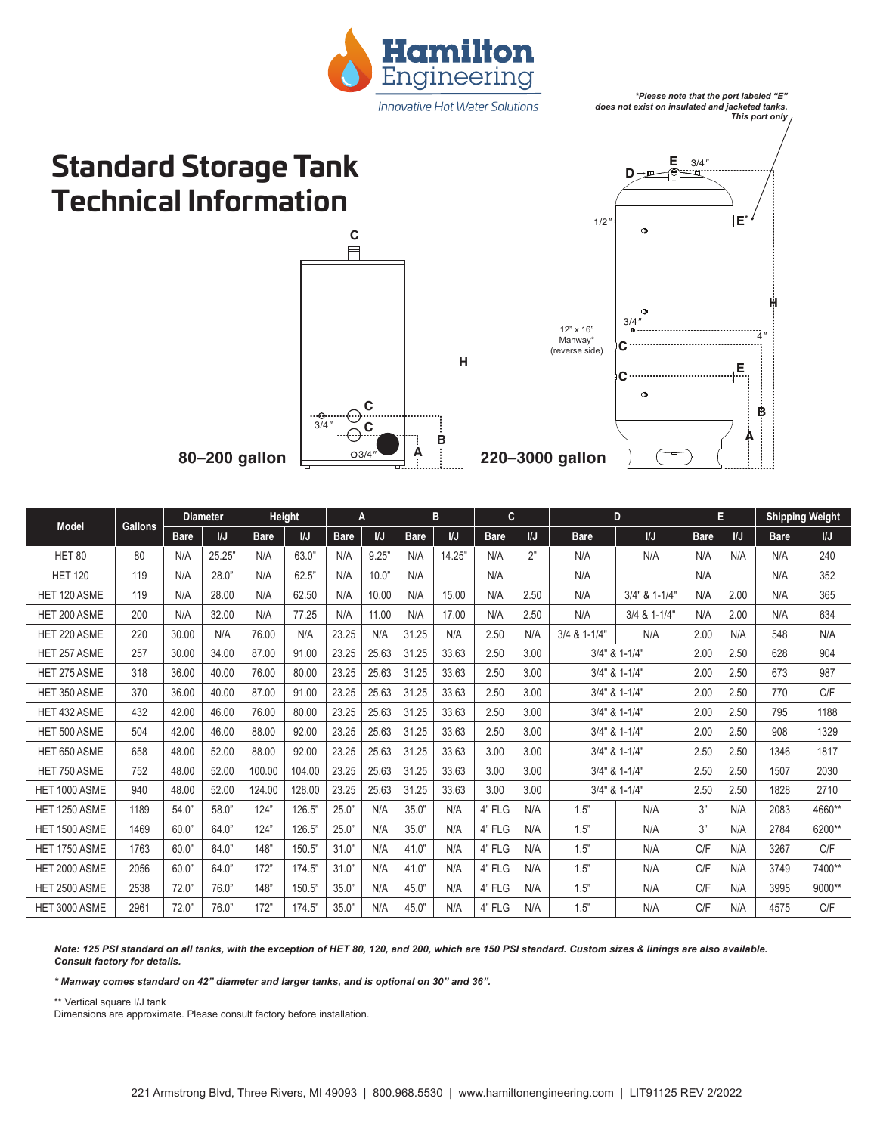

*\*Please note that the port labeled "E" does not exist on insulated and jacketed tanks. This port only*

## **Standard Storage Tank Technical Information**





| Model             | <b>Gallons</b> | <b>Diameter</b> |              | Height      |        | A           |              | B           |        | C           |      | D             |               | E           |      | <b>Shipping Weight</b> |              |
|-------------------|----------------|-----------------|--------------|-------------|--------|-------------|--------------|-------------|--------|-------------|------|---------------|---------------|-------------|------|------------------------|--------------|
|                   |                | <b>Bare</b>     | $\mathsf{U}$ | <b>Bare</b> | I/J    | <b>Bare</b> | $\mathsf{U}$ | <b>Bare</b> | I/J    | <b>Bare</b> | IJ   | <b>Bare</b>   | $\mathsf{U}$  | <b>Bare</b> | I/J  | <b>Bare</b>            | $\mathsf{M}$ |
| HET <sub>80</sub> | 80             | N/A             | 25.25"       | N/A         | 63.0"  | N/A         | 9.25"        | N/A         | 14.25" | N/A         | 2"   | N/A           | N/A           | N/A         | N/A  | N/A                    | 240          |
| <b>HET 120</b>    | 119            | N/A             | 28.0"        | N/A         | 62.5"  | N/A         | 10.0"        | N/A         |        | N/A         |      | N/A           |               | N/A         |      | N/A                    | 352          |
| HET 120 ASME      | 119            | N/A             | 28.00        | N/A         | 62.50  | N/A         | 10.00        | N/A         | 15.00  | N/A         | 2.50 | N/A           | 3/4" & 1-1/4" | N/A         | 2.00 | N/A                    | 365          |
| HET 200 ASME      | 200            | N/A             | 32.00        | N/A         | 77.25  | N/A         | 11.00        | N/A         | 17.00  | N/A         | 2.50 | N/A           | 3/4 & 1-1/4"  | N/A         | 2.00 | N/A                    | 634          |
| HET 220 ASME      | 220            | 30.00           | N/A          | 76.00       | N/A    | 23.25       | N/A          | 31.25       | N/A    | 2.50        | N/A  | 3/4 & 1-1/4"  | N/A           | 2.00        | N/A  | 548                    | N/A          |
| HET 257 ASME      | 257            | 30.00           | 34.00        | 87.00       | 91.00  | 23.25       | 25.63        | 31.25       | 33.63  | 2.50        | 3.00 | 3/4" & 1-1/4" |               | 2.00        | 2.50 | 628                    | 904          |
| HET 275 ASME      | 318            | 36.00           | 40.00        | 76.00       | 80.00  | 23.25       | 25.63        | 31.25       | 33.63  | 2.50        | 3.00 | 3/4" & 1-1/4" |               | 2.00        | 2.50 | 673                    | 987          |
| HET 350 ASME      | 370            | 36.00           | 40.00        | 87.00       | 91.00  | 23.25       | 25.63        | 31.25       | 33.63  | 2.50        | 3.00 | 3/4" & 1-1/4" |               | 2.00        | 2.50 | 770                    | C/F          |
| HET 432 ASME      | 432            | 42.00           | 46.00        | 76.00       | 80.00  | 23.25       | 25.63        | 31.25       | 33.63  | 2.50        | 3.00 | 3/4" & 1-1/4" |               | 2.00        | 2.50 | 795                    | 1188         |
| HET 500 ASME      | 504            | 42.00           | 46.00        | 88.00       | 92.00  | 23.25       | 25.63        | 31.25       | 33.63  | 2.50        | 3.00 | 3/4" & 1-1/4" |               | 2.00        | 2.50 | 908                    | 1329         |
| HET 650 ASME      | 658            | 48.00           | 52.00        | 88.00       | 92.00  | 23.25       | 25.63        | 31.25       | 33.63  | 3.00        | 3.00 | 3/4" & 1-1/4" |               | 2.50        | 2.50 | 1346                   | 1817         |
| HET 750 ASME      | 752            | 48.00           | 52.00        | 100.00      | 104.00 | 23.25       | 25.63        | 31.25       | 33.63  | 3.00        | 3.00 | 3/4" & 1-1/4" |               | 2.50        | 2.50 | 1507                   | 2030         |
| HET 1000 ASME     | 940            | 48.00           | 52.00        | 124.00      | 128.00 | 23.25       | 25.63        | 31.25       | 33.63  | 3.00        | 3.00 | 3/4" & 1-1/4" |               | 2.50        | 2.50 | 1828                   | 2710         |
| HET 1250 ASME     | 1189           | 54.0"           | 58.0"        | 124"        | 126.5" | 25.0"       | N/A          | 35.0"       | N/A    | 4" FLG      | N/A  | 1.5"          | N/A           | 3"          | N/A  | 2083                   | 4660**       |
| HET 1500 ASME     | 1469           | 60.0"           | 64.0         | 124"        | 126.5" | 25.0"       | N/A          | 35.0"       | N/A    | 4" FLG      | N/A  | 1.5"          | N/A           | 3"          | N/A  | 2784                   | 6200**       |
| HET 1750 ASME     | 1763           | 60.0"           | 64.0"        | 148"        | 150.5" | 31.0"       | N/A          | 41.0"       | N/A    | 4" FLG      | N/A  | 1.5"          | N/A           | C/F         | N/A  | 3267                   | C/F          |
| HET 2000 ASME     | 2056           | 60.0"           | 64.0"        | 172"        | 174.5" | 31.0"       | N/A          | 41.0"       | N/A    | 4" FLG      | N/A  | 1.5"          | N/A           | C/F         | N/A  | 3749                   | 7400**       |
| HET 2500 ASME     | 2538           | 72.0"           | 76.0"        | 148"        | 150.5" | 35.0"       | N/A          | 45.0"       | N/A    | 4" FLG      | N/A  | 1.5"          | N/A           | C/F         | N/A  | 3995                   | 9000**       |
| HET 3000 ASME     | 2961           | 72.0"           | 76.0'        | 172"        | 174.5" | 35.0"       | N/A          | 45.0"       | N/A    | 4" FLG      | N/A  | 1.5"          | N/A           | C/F         | N/A  | 4575                   | C/F          |

*Note: 125 PSI standard on all tanks, with the exception of HET 80, 120, and 200, which are 150 PSI standard. Custom sizes & linings are also available. Consult factory for details.*

*\* Manway comes standard on 42" diameter and larger tanks, and is optional on 30" and 36".*

\*\* Vertical square I/J tank

Dimensions are approximate. Please consult factory before installation.